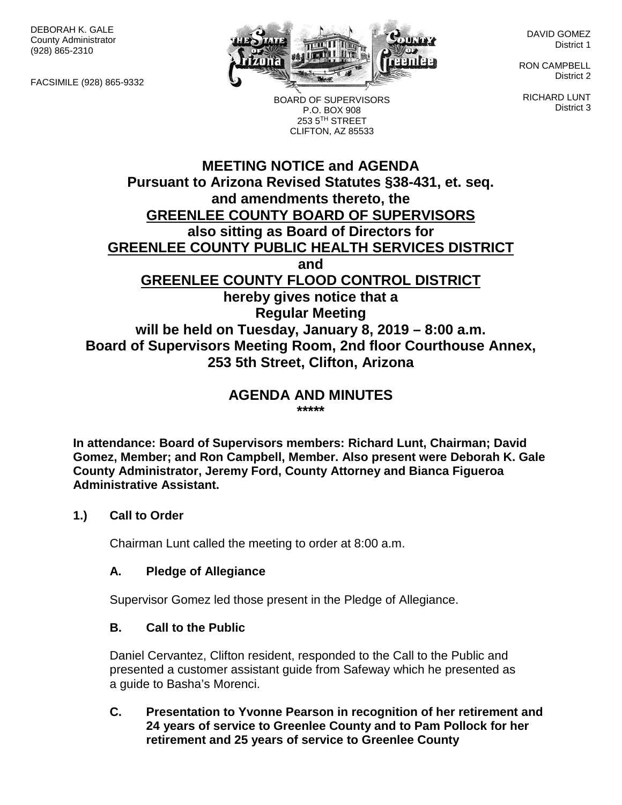DEBORAH K. GALE County Administrator (928) 865-2310

FACSIMILE (928) 865-9332



BOARD OF SUPERVISORS P.O. BOX 908 253 5TH STREET CLIFTON, AZ 85533

DAVID GOMEZ District 1

RON CAMPBELL District 2

RICHARD LUNT District 3

# **MEETING NOTICE and AGENDA Pursuant to Arizona Revised Statutes §38-431, et. seq. and amendments thereto, the GREENLEE COUNTY BOARD OF SUPERVISORS also sitting as Board of Directors for GREENLEE COUNTY PUBLIC HEALTH SERVICES DISTRICT and GREENLEE COUNTY FLOOD CONTROL DISTRICT hereby gives notice that a Regular Meeting will be held on Tuesday, January 8, 2019 – 8:00 a.m. Board of Supervisors Meeting Room, 2nd floor Courthouse Annex, 253 5th Street, Clifton, Arizona**

#### **AGENDA AND MINUTES \*\*\*\*\***

**In attendance: Board of Supervisors members: Richard Lunt, Chairman; David Gomez, Member; and Ron Campbell, Member. Also present were Deborah K. Gale County Administrator, Jeremy Ford, County Attorney and Bianca Figueroa Administrative Assistant.**

# **1.) Call to Order**

Chairman Lunt called the meeting to order at 8:00 a.m.

# **A. Pledge of Allegiance**

Supervisor Gomez led those present in the Pledge of Allegiance.

# **B. Call to the Public**

Daniel Cervantez, Clifton resident, responded to the Call to the Public and presented a customer assistant guide from Safeway which he presented as a guide to Basha's Morenci.

# **C. Presentation to Yvonne Pearson in recognition of her retirement and 24 years of service to Greenlee County and to Pam Pollock for her retirement and 25 years of service to Greenlee County**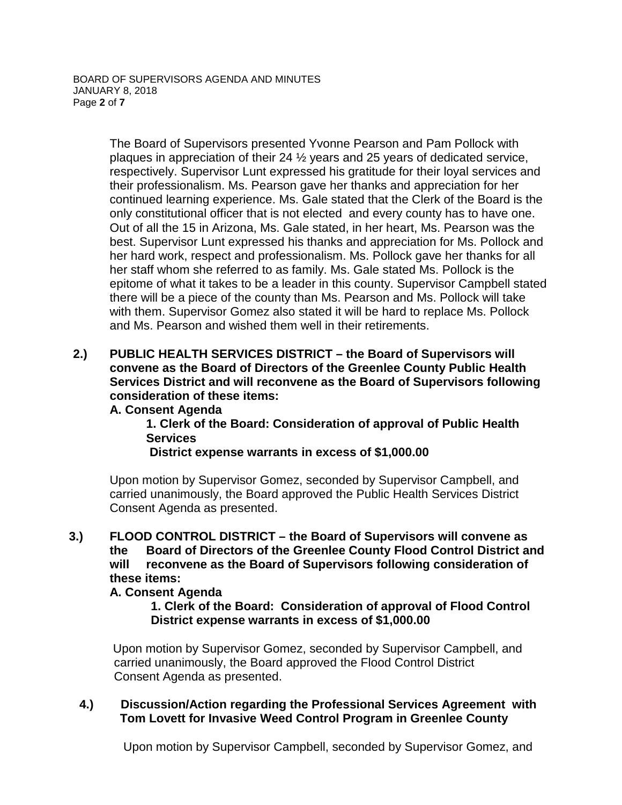The Board of Supervisors presented Yvonne Pearson and Pam Pollock with plaques in appreciation of their 24 ½ years and 25 years of dedicated service, respectively. Supervisor Lunt expressed his gratitude for their loyal services and their professionalism. Ms. Pearson gave her thanks and appreciation for her continued learning experience. Ms. Gale stated that the Clerk of the Board is the only constitutional officer that is not elected and every county has to have one. Out of all the 15 in Arizona, Ms. Gale stated, in her heart, Ms. Pearson was the best. Supervisor Lunt expressed his thanks and appreciation for Ms. Pollock and her hard work, respect and professionalism. Ms. Pollock gave her thanks for all her staff whom she referred to as family. Ms. Gale stated Ms. Pollock is the epitome of what it takes to be a leader in this county. Supervisor Campbell stated there will be a piece of the county than Ms. Pearson and Ms. Pollock will take with them. Supervisor Gomez also stated it will be hard to replace Ms. Pollock and Ms. Pearson and wished them well in their retirements.

**2.) PUBLIC HEALTH SERVICES DISTRICT – the Board of Supervisors will convene as the Board of Directors of the Greenlee County Public Health Services District and will reconvene as the Board of Supervisors following consideration of these items:**

# **A. Consent Agenda**

**1. Clerk of the Board: Consideration of approval of Public Health Services** 

# **District expense warrants in excess of \$1,000.00**

Upon motion by Supervisor Gomez, seconded by Supervisor Campbell, and carried unanimously, the Board approved the Public Health Services District Consent Agenda as presented.

# **3.) FLOOD CONTROL DISTRICT – the Board of Supervisors will convene as the Board of Directors of the Greenlee County Flood Control District and will reconvene as the Board of Supervisors following consideration of these items:**

# **A. Consent Agenda**

**1. Clerk of the Board: Consideration of approval of Flood Control District expense warrants in excess of \$1,000.00**

Upon motion by Supervisor Gomez, seconded by Supervisor Campbell, and carried unanimously, the Board approved the Flood Control District Consent Agenda as presented.

# **4.) Discussion/Action regarding the Professional Services Agreement with Tom Lovett for Invasive Weed Control Program in Greenlee County**

Upon motion by Supervisor Campbell, seconded by Supervisor Gomez, and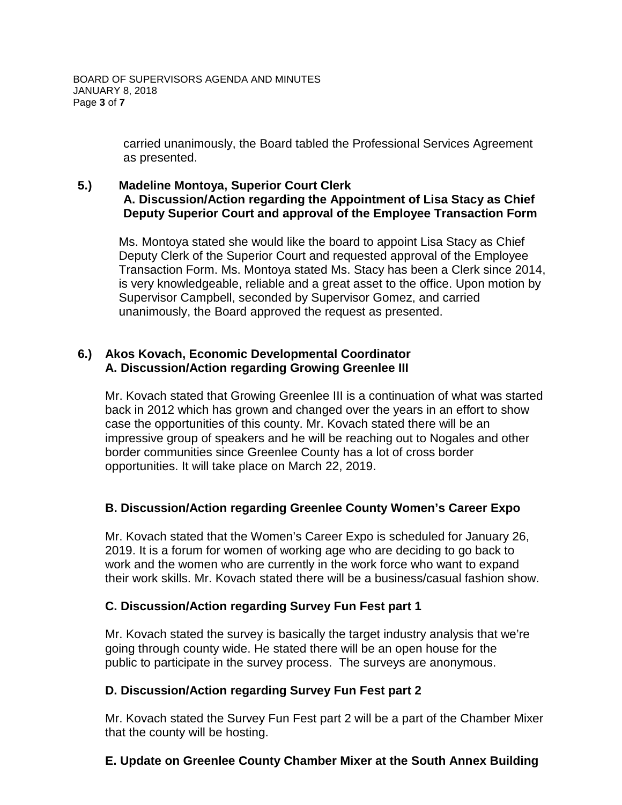carried unanimously, the Board tabled the Professional Services Agreement as presented.

# **5.) Madeline Montoya, Superior Court Clerk A. Discussion/Action regarding the Appointment of Lisa Stacy as Chief Deputy Superior Court and approval of the Employee Transaction Form**

Ms. Montoya stated she would like the board to appoint Lisa Stacy as Chief Deputy Clerk of the Superior Court and requested approval of the Employee Transaction Form. Ms. Montoya stated Ms. Stacy has been a Clerk since 2014, is very knowledgeable, reliable and a great asset to the office. Upon motion by Supervisor Campbell, seconded by Supervisor Gomez, and carried unanimously, the Board approved the request as presented.

# **6.) Akos Kovach, Economic Developmental Coordinator A. Discussion/Action regarding Growing Greenlee III**

Mr. Kovach stated that Growing Greenlee III is a continuation of what was started back in 2012 which has grown and changed over the years in an effort to show case the opportunities of this county. Mr. Kovach stated there will be an impressive group of speakers and he will be reaching out to Nogales and other border communities since Greenlee County has a lot of cross border opportunities. It will take place on March 22, 2019.

# **B. Discussion/Action regarding Greenlee County Women's Career Expo**

Mr. Kovach stated that the Women's Career Expo is scheduled for January 26, 2019. It is a forum for women of working age who are deciding to go back to work and the women who are currently in the work force who want to expand their work skills. Mr. Kovach stated there will be a business/casual fashion show.

# **C. Discussion/Action regarding Survey Fun Fest part 1**

Mr. Kovach stated the survey is basically the target industry analysis that we're going through county wide. He stated there will be an open house for the public to participate in the survey process. The surveys are anonymous.

# **D. Discussion/Action regarding Survey Fun Fest part 2**

Mr. Kovach stated the Survey Fun Fest part 2 will be a part of the Chamber Mixer that the county will be hosting.

# **E. Update on Greenlee County Chamber Mixer at the South Annex Building**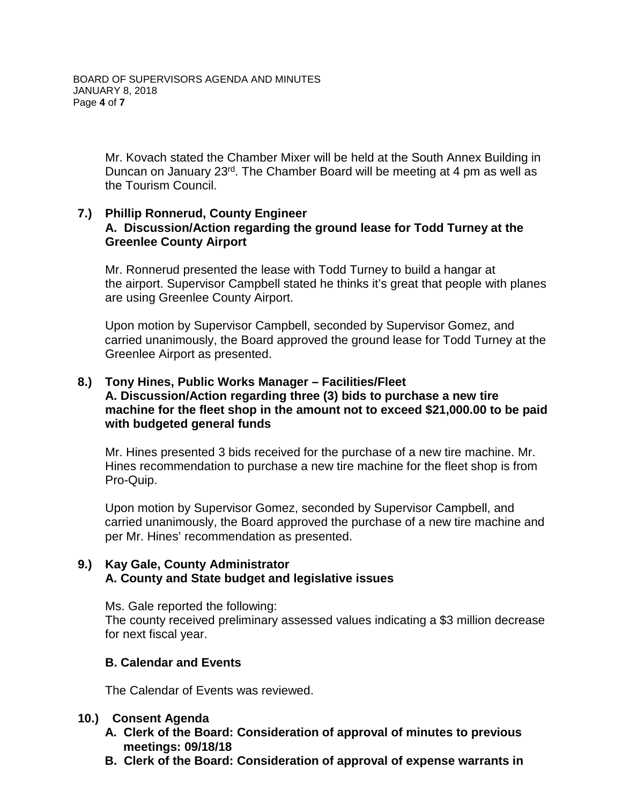Mr. Kovach stated the Chamber Mixer will be held at the South Annex Building in Duncan on January 23<sup>rd</sup>. The Chamber Board will be meeting at 4 pm as well as the Tourism Council.

# **7.) Phillip Ronnerud, County Engineer A. Discussion/Action regarding the ground lease for Todd Turney at the Greenlee County Airport**

Mr. Ronnerud presented the lease with Todd Turney to build a hangar at the airport. Supervisor Campbell stated he thinks it's great that people with planes are using Greenlee County Airport.

Upon motion by Supervisor Campbell, seconded by Supervisor Gomez, and carried unanimously, the Board approved the ground lease for Todd Turney at the Greenlee Airport as presented.

#### **8.) Tony Hines, Public Works Manager – Facilities/Fleet A. Discussion/Action regarding three (3) bids to purchase a new tire machine for the fleet shop in the amount not to exceed \$21,000.00 to be paid with budgeted general funds**

Mr. Hines presented 3 bids received for the purchase of a new tire machine. Mr. Hines recommendation to purchase a new tire machine for the fleet shop is from Pro-Quip.

Upon motion by Supervisor Gomez, seconded by Supervisor Campbell, and carried unanimously, the Board approved the purchase of a new tire machine and per Mr. Hines' recommendation as presented.

# **9.) Kay Gale, County Administrator A. County and State budget and legislative issues**

Ms. Gale reported the following:

The county received preliminary assessed values indicating a \$3 million decrease for next fiscal year.

# **B. Calendar and Events**

The Calendar of Events was reviewed.

# **10.) Consent Agenda**

- **A. Clerk of the Board: Consideration of approval of minutes to previous meetings: 09/18/18**
- **B. Clerk of the Board: Consideration of approval of expense warrants in**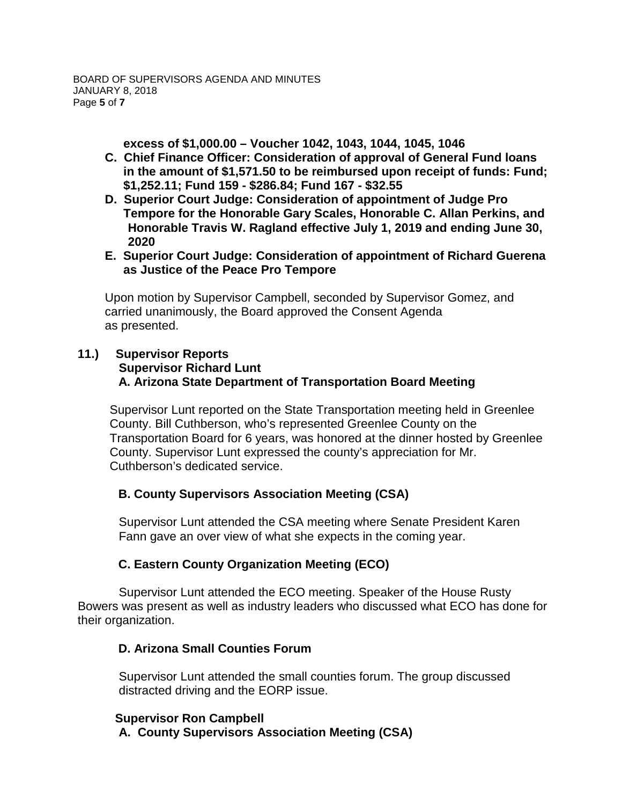**excess of \$1,000.00 – Voucher 1042, 1043, 1044, 1045, 1046**

- **C. Chief Finance Officer: Consideration of approval of General Fund loans in the amount of \$1,571.50 to be reimbursed upon receipt of funds: Fund; \$1,252.11; Fund 159 - \$286.84; Fund 167 - \$32.55**
- **D. Superior Court Judge: Consideration of appointment of Judge Pro Tempore for the Honorable Gary Scales, Honorable C. Allan Perkins, and Honorable Travis W. Ragland effective July 1, 2019 and ending June 30, 2020**
- **E. Superior Court Judge: Consideration of appointment of Richard Guerena as Justice of the Peace Pro Tempore**

Upon motion by Supervisor Campbell, seconded by Supervisor Gomez, and carried unanimously, the Board approved the Consent Agenda as presented.

#### **11.) Supervisor Reports Supervisor Richard Lunt A. Arizona State Department of Transportation Board Meeting**

Supervisor Lunt reported on the State Transportation meeting held in Greenlee County. Bill Cuthberson, who's represented Greenlee County on the Transportation Board for 6 years, was honored at the dinner hosted by Greenlee County. Supervisor Lunt expressed the county's appreciation for Mr. Cuthberson's dedicated service.

# **B. County Supervisors Association Meeting (CSA)**

Supervisor Lunt attended the CSA meeting where Senate President Karen Fann gave an over view of what she expects in the coming year.

# **C. Eastern County Organization Meeting (ECO)**

Supervisor Lunt attended the ECO meeting. Speaker of the House Rusty Bowers was present as well as industry leaders who discussed what ECO has done for their organization.

# **D. Arizona Small Counties Forum**

Supervisor Lunt attended the small counties forum. The group discussed distracted driving and the EORP issue.

# **Supervisor Ron Campbell**

**A. County Supervisors Association Meeting (CSA)**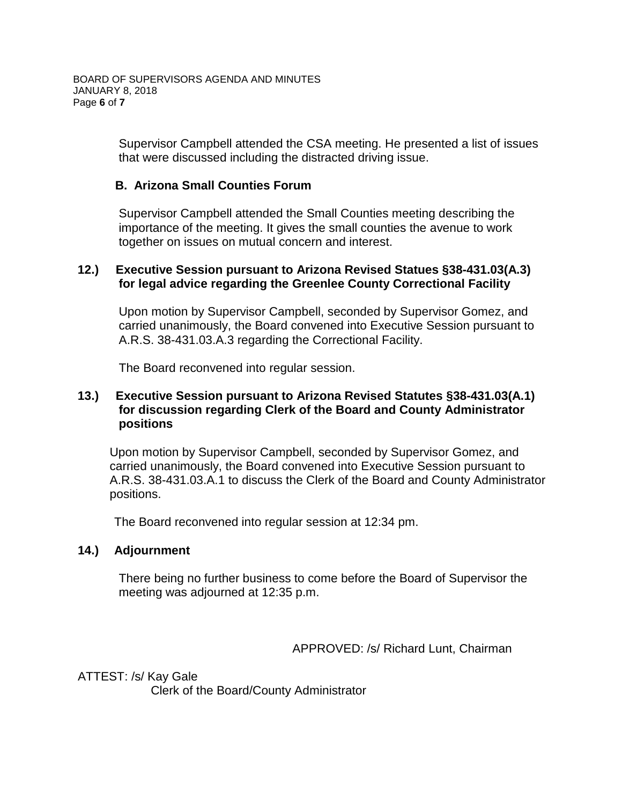Supervisor Campbell attended the CSA meeting. He presented a list of issues that were discussed including the distracted driving issue.

#### **B. Arizona Small Counties Forum**

Supervisor Campbell attended the Small Counties meeting describing the importance of the meeting. It gives the small counties the avenue to work together on issues on mutual concern and interest.

#### **12.) Executive Session pursuant to Arizona Revised Statues §38-431.03(A.3) for legal advice regarding the Greenlee County Correctional Facility**

Upon motion by Supervisor Campbell, seconded by Supervisor Gomez, and carried unanimously, the Board convened into Executive Session pursuant to A.R.S. 38-431.03.A.3 regarding the Correctional Facility.

The Board reconvened into regular session.

# **13.) Executive Session pursuant to Arizona Revised Statutes §38-431.03(A.1) for discussion regarding Clerk of the Board and County Administrator positions**

Upon motion by Supervisor Campbell, seconded by Supervisor Gomez, and carried unanimously, the Board convened into Executive Session pursuant to A.R.S. 38-431.03.A.1 to discuss the Clerk of the Board and County Administrator positions.

The Board reconvened into regular session at 12:34 pm.

# **14.) Adjournment**

There being no further business to come before the Board of Supervisor the meeting was adjourned at 12:35 p.m.

APPROVED: /s/ Richard Lunt, Chairman

ATTEST: /s/ Kay Gale Clerk of the Board/County Administrator